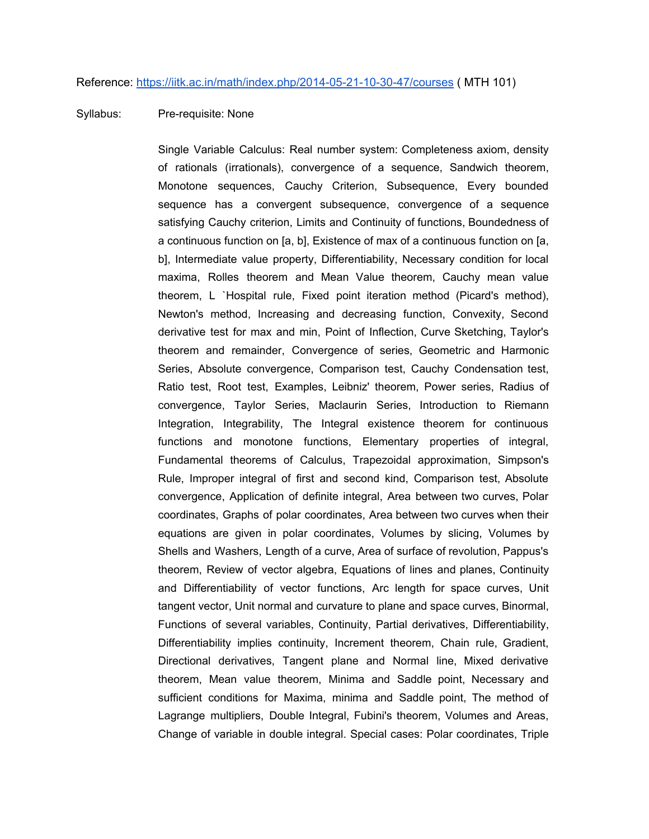## Syllabus: Pre-requisite: None

Single Variable Calculus: Real number system: Completeness axiom, density of rationals (irrationals), convergence of a sequence, Sandwich theorem, Monotone sequences, Cauchy Criterion, Subsequence, Every bounded sequence has a convergent subsequence, convergence of a sequence satisfying Cauchy criterion, Limits and Continuity of functions, Boundedness of a continuous function on [a, b], Existence of max of a continuous function on [a, b], Intermediate value property, Differentiability, Necessary condition for local maxima, Rolles theorem and Mean Value theorem, Cauchy mean value theorem, L `Hospital rule, Fixed point iteration method (Picard's method), Newton's method, Increasing and decreasing function, Convexity, Second derivative test for max and min, Point of Inflection, Curve Sketching, Taylor's theorem and remainder, Convergence of series, Geometric and Harmonic Series, Absolute convergence, Comparison test, Cauchy Condensation test, Ratio test, Root test, Examples, Leibniz' theorem, Power series, Radius of convergence, Taylor Series, Maclaurin Series, Introduction to Riemann Integration, Integrability, The Integral existence theorem for continuous functions and monotone functions, Elementary properties of integral, Fundamental theorems of Calculus, Trapezoidal approximation, Simpson's Rule, Improper integral of first and second kind, Comparison test, Absolute convergence, Application of definite integral, Area between two curves, Polar coordinates, Graphs of polar coordinates, Area between two curves when their equations are given in polar coordinates, Volumes by slicing, Volumes by Shells and Washers, Length of a curve, Area of surface of revolution, Pappus's theorem, Review of vector algebra, Equations of lines and planes, Continuity and Differentiability of vector functions, Arc length for space curves, Unit tangent vector, Unit normal and curvature to plane and space curves, Binormal, Functions of several variables, Continuity, Partial derivatives, Differentiability, Differentiability implies continuity, Increment theorem, Chain rule, Gradient, Directional derivatives, Tangent plane and Normal line, Mixed derivative theorem, Mean value theorem, Minima and Saddle point, Necessary and sufficient conditions for Maxima, minima and Saddle point, The method of Lagrange multipliers, Double Integral, Fubini's theorem, Volumes and Areas, Change of variable in double integral. Special cases: Polar coordinates, Triple